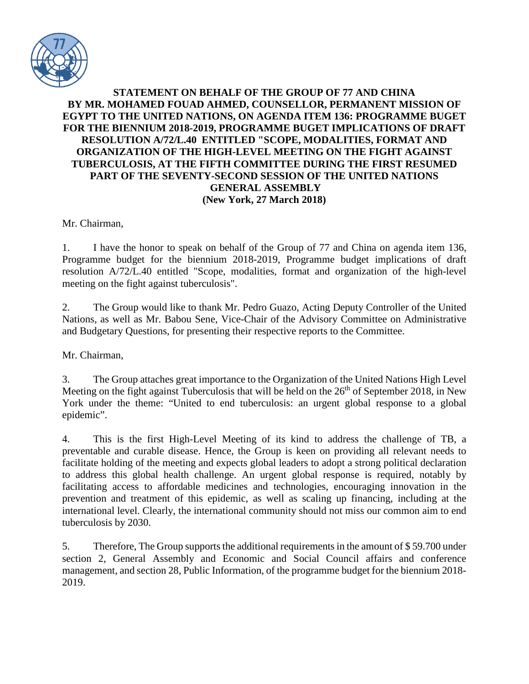

## **STATEMENT ON BEHALF OF THE GROUP OF 77 AND CHINA BY MR. MOHAMED FOUAD AHMED, COUNSELLOR, PERMANENT MISSION OF EGYPT TO THE UNITED NATIONS, ON AGENDA ITEM 136: PROGRAMME BUGET FOR THE BIENNIUM 2018-2019, PROGRAMME BUGET IMPLICATIONS OF DRAFT RESOLUTION A/72/L.40 ENTITLED "SCOPE, MODALITIES, FORMAT AND ORGANIZATION OF THE HIGH-LEVEL MEETING ON THE FIGHT AGAINST TUBERCULOSIS, AT THE FIFTH COMMITTEE DURING THE FIRST RESUMED PART OF THE SEVENTY-SECOND SESSION OF THE UNITED NATIONS GENERAL ASSEMBLY (New York, 27 March 2018)**

Mr. Chairman,

1. I have the honor to speak on behalf of the Group of 77 and China on agenda item 136, Programme budget for the biennium 2018-2019, Programme budget implications of draft resolution A/72/L.40 entitled "Scope, modalities, format and organization of the high-level meeting on the fight against tuberculosis".

2. The Group would like to thank Mr. Pedro Guazo, Acting Deputy Controller of the United Nations, as well as Mr. Babou Sene, Vice-Chair of the Advisory Committee on Administrative and Budgetary Questions, for presenting their respective reports to the Committee.

Mr. Chairman,

3. The Group attaches great importance to the Organization of the United Nations High Level Meeting on the fight against Tuberculosis that will be held on the  $26<sup>th</sup>$  of September 2018, in New York under the theme: "United to end tuberculosis: an urgent global response to a global epidemic".

4. This is the first High-Level Meeting of its kind to address the challenge of TB, a preventable and curable disease. Hence, the Group is keen on providing all relevant needs to facilitate holding of the meeting and expects global leaders to adopt a strong political declaration to address this global health challenge. An urgent global response is required, notably by facilitating access to affordable medicines and technologies, encouraging innovation in the prevention and treatment of this epidemic, as well as scaling up financing, including at the international level. Clearly, the international community should not miss our common aim to end tuberculosis by 2030.

5. Therefore, The Group supports the additional requirements in the amount of \$59.700 under section 2, General Assembly and Economic and Social Council affairs and conference management, and section 28, Public Information, of the programme budget for the biennium 2018- 2019.